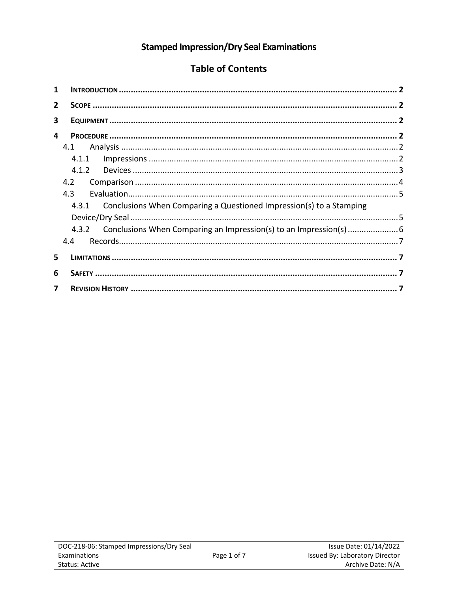# **Stamped Impression/Dry Seal Examinations**

# **Table of Contents**

| 1                       |                                                                              |  |  |  |
|-------------------------|------------------------------------------------------------------------------|--|--|--|
| $\overline{2}$          |                                                                              |  |  |  |
| 3                       |                                                                              |  |  |  |
| 4                       |                                                                              |  |  |  |
|                         | 4.1                                                                          |  |  |  |
|                         |                                                                              |  |  |  |
|                         | 4.1.2                                                                        |  |  |  |
|                         | 4.2                                                                          |  |  |  |
|                         | 4.3                                                                          |  |  |  |
|                         | Conclusions When Comparing a Questioned Impression(s) to a Stamping<br>4.3.1 |  |  |  |
|                         |                                                                              |  |  |  |
|                         | 4.3.2 Conclusions When Comparing an Impression(s) to an Impression(s)        |  |  |  |
|                         | 4.4                                                                          |  |  |  |
| 5                       |                                                                              |  |  |  |
| 6                       |                                                                              |  |  |  |
| $\overline{\mathbf{z}}$ |                                                                              |  |  |  |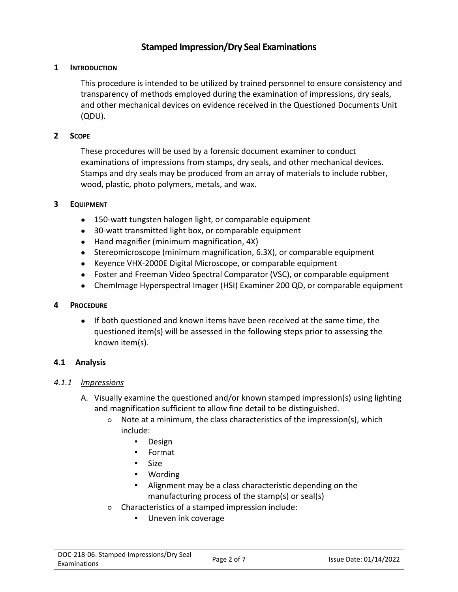# **Stamped Impression/Dry Seal Examinations**

# **1 INTRODUCTION**

This procedure is intended to be utilized by trained personnel to ensure consistency and transparency of methods employed during the examination of impressions, dry seals, and other mechanical devices on evidence received in the Questioned Documents Unit (QDU).

# **2 SCOPE**

These procedures will be used by a forensic document examiner to conduct examinations of impressions from stamps, dry seals, and other mechanical devices. Stamps and dry seals may be produced from an array of materials to include rubber, wood, plastic, photo polymers, metals, and wax.

## **3 EQUIPMENT**

- 150-watt tungsten halogen light, or comparable equipment
- 30-watt transmitted light box, or comparable equipment
- Hand magnifier (minimum magnification, 4X)
- Stereomicroscope (minimum magnification, 6.3X), or comparable equipment
- Keyence VHX-2000E Digital Microscope, or comparable equipment
- Foster and Freeman Video Spectral Comparator (VSC), or comparable equipment
- ChemImage Hyperspectral Imager (HSI) Examiner 200 QD, or comparable equipment

### **4 PROCEDURE**

● If both questioned and known items have been received at the same time, the questioned item(s) will be assessed in the following steps prior to assessing the known item(s).

# **4.1 Analysis**

### *4.1.1 Impressions*

- A. Visually examine the questioned and/or known stamped impression(s) using lighting and magnification sufficient to allow fine detail to be distinguished.
	- Note at a minimum, the class characteristics of the impression(s), which include:
		- Design
		- Format
		- Size
		- Wording
		- Alignment may be a class characteristic depending on the manufacturing process of the stamp(s) or seal(s)
	- Characteristics of a stamped impression include:
		- Uneven ink coverage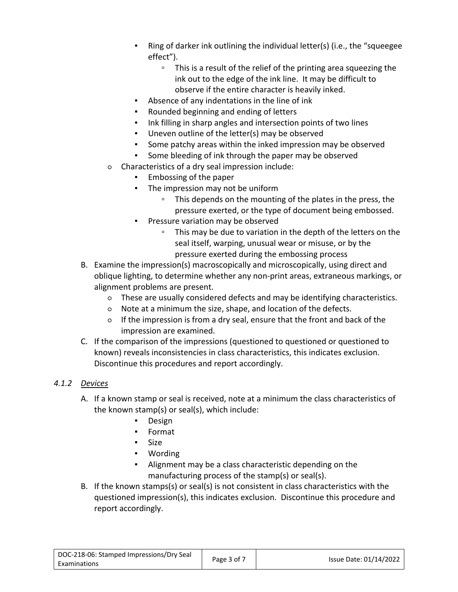- Ring of darker ink outlining the individual letter(s) (i.e., the "squeegee effect").
	- This is a result of the relief of the printing area squeezing the ink out to the edge of the ink line. It may be difficult to observe if the entire character is heavily inked.
- Absence of any indentations in the line of ink
- Rounded beginning and ending of letters
- Ink filling in sharp angles and intersection points of two lines
- Uneven outline of the letter(s) may be observed
- Some patchy areas within the inked impression may be observed
- Some bleeding of ink through the paper may be observed
- Characteristics of a dry seal impression include:
	- Embossing of the paper
	- The impression may not be uniform
		- This depends on the mounting of the plates in the press, the pressure exerted, or the type of document being embossed.
	- Pressure variation may be observed
		- This may be due to variation in the depth of the letters on the seal itself, warping, unusual wear or misuse, or by the pressure exerted during the embossing process
- B. Examine the impression(s) macroscopically and microscopically, using direct and oblique lighting, to determine whether any non-print areas, extraneous markings, or alignment problems are present.
	- These are usually considered defects and may be identifying characteristics.
	- Note at a minimum the size, shape, and location of the defects.
	- If the impression is from a dry seal, ensure that the front and back of the impression are examined.
- C. If the comparison of the impressions (questioned to questioned or questioned to known) reveals inconsistencies in class characteristics, this indicates exclusion. Discontinue this procedures and report accordingly.

# *4.1.2 Devices*

- A. If a known stamp or seal is received, note at a minimum the class characteristics of the known stamp(s) or seal(s), which include:
	- Design
	- Format
	- Size
	- Wording
	- Alignment may be a class characteristic depending on the manufacturing process of the stamp(s) or seal(s).
- B. If the known stamps(s) or seal(s) is not consistent in class characteristics with the questioned impression(s), this indicates exclusion. Discontinue this procedure and report accordingly.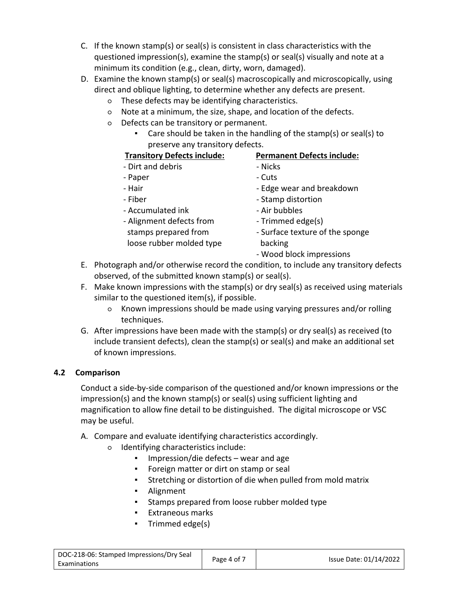- C. If the known stamp(s) or seal(s) is consistent in class characteristics with the questioned impression(s), examine the stamp(s) or seal(s) visually and note at a minimum its condition (e.g., clean, dirty, worn, damaged).
- D. Examine the known stamp(s) or seal(s) macroscopically and microscopically, using direct and oblique lighting, to determine whether any defects are present.
	- These defects may be identifying characteristics.
	- Note at a minimum, the size, shape, and location of the defects.
	- Defects can be transitory or permanent.
		- Care should be taken in the handling of the stamp(s) or seal(s) to preserve any transitory defects.

# **Transitory Defects include: Permanent Defects include:**

- Dirt and debris  **Nicks**
- Paper Cuts
- 
- 
- Accumulated ink Air bubbles
- Alignment defects from stamps prepared from loose rubber molded type
- 
- 
- Hair  **Edge wear and breakdown**
- Fiber  **Stamp distortion** 
	-
	- Trimmed edge(s)
	- Surface texture of the sponge backing
	- Wood block impressions
- E. Photograph and/or otherwise record the condition, to include any transitory defects observed, of the submitted known stamp(s) or seal(s).
- F. Make known impressions with the stamp(s) or dry seal(s) as received using materials similar to the questioned item(s), if possible.
	- Known impressions should be made using varying pressures and/or rolling techniques.
- G. After impressions have been made with the stamp(s) or dry seal(s) as received (to include transient defects), clean the stamp(s) or seal(s) and make an additional set of known impressions.

# **4.2 Comparison**

Conduct a side-by-side comparison of the questioned and/or known impressions or the impression(s) and the known stamp(s) or seal(s) using sufficient lighting and magnification to allow fine detail to be distinguished. The digital microscope or VSC may be useful.

- A. Compare and evaluate identifying characteristics accordingly.
	- Identifying characteristics include:
		- Impression/die defects wear and age
		- Foreign matter or dirt on stamp or seal
		- Stretching or distortion of die when pulled from mold matrix
		- Alignment
		- Stamps prepared from loose rubber molded type
		- Extraneous marks
		- Trimmed edge(s)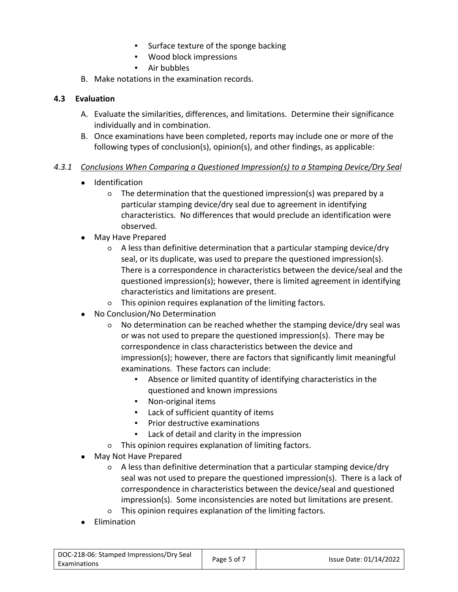- Surface texture of the sponge backing
- Wood block impressions
- Air bubbles
- B. Make notations in the examination records.

# **4.3 Evaluation**

- A. Evaluate the similarities, differences, and limitations. Determine their significance individually and in combination.
- B. Once examinations have been completed, reports may include one or more of the following types of conclusion(s), opinion(s), and other findings, as applicable:

# *4.3.1 Conclusions When Comparing a Questioned Impression(s) to a Stamping Device/Dry Seal*

- Identification
	- The determination that the questioned impression(s) was prepared by a particular stamping device/dry seal due to agreement in identifying characteristics. No differences that would preclude an identification were observed.
- May Have Prepared
	- A less than definitive determination that a particular stamping device/dry seal, or its duplicate, was used to prepare the questioned impression(s). There is a correspondence in characteristics between the device/seal and the questioned impression(s); however, there is limited agreement in identifying characteristics and limitations are present.
	- This opinion requires explanation of the limiting factors.
- No Conclusion/No Determination
	- No determination can be reached whether the stamping device/dry seal was or was not used to prepare the questioned impression(s). There may be correspondence in class characteristics between the device and impression(s); however, there are factors that significantly limit meaningful examinations. These factors can include:
		- Absence or limited quantity of identifying characteristics in the questioned and known impressions
		- Non-original items
		- Lack of sufficient quantity of items
		- Prior destructive examinations
		- Lack of detail and clarity in the impression
	- This opinion requires explanation of limiting factors.
- May Not Have Prepared
	- A less than definitive determination that a particular stamping device/dry seal was not used to prepare the questioned impression(s). There is a lack of correspondence in characteristics between the device/seal and questioned impression(s). Some inconsistencies are noted but limitations are present.
	- This opinion requires explanation of the limiting factors.
- Elimination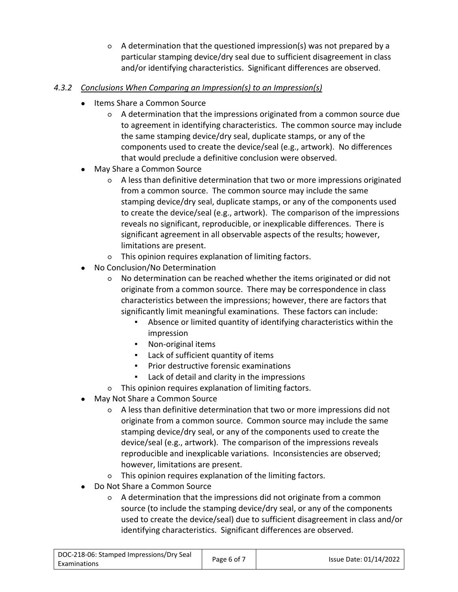○ A determination that the questioned impression(s) was not prepared by a particular stamping device/dry seal due to sufficient disagreement in class and/or identifying characteristics. Significant differences are observed.

# *4.3.2 Conclusions When Comparing an Impression(s) to an Impression(s)*

- Items Share a Common Source
	- A determination that the impressions originated from a common source due to agreement in identifying characteristics. The common source may include the same stamping device/dry seal, duplicate stamps, or any of the components used to create the device/seal (e.g., artwork). No differences that would preclude a definitive conclusion were observed.
- May Share a Common Source
	- A less than definitive determination that two or more impressions originated from a common source. The common source may include the same stamping device/dry seal, duplicate stamps, or any of the components used to create the device/seal (e.g., artwork). The comparison of the impressions reveals no significant, reproducible, or inexplicable differences. There is significant agreement in all observable aspects of the results; however, limitations are present.
	- This opinion requires explanation of limiting factors.
- No Conclusion/No Determination
	- No determination can be reached whether the items originated or did not originate from a common source. There may be correspondence in class characteristics between the impressions; however, there are factors that significantly limit meaningful examinations. These factors can include:
		- Absence or limited quantity of identifying characteristics within the impression
		- Non-original items
		- Lack of sufficient quantity of items
		- Prior destructive forensic examinations
		- Lack of detail and clarity in the impressions
	- This opinion requires explanation of limiting factors.
- May Not Share a Common Source
	- A less than definitive determination that two or more impressions did not originate from a common source. Common source may include the same stamping device/dry seal, or any of the components used to create the device/seal (e.g., artwork). The comparison of the impressions reveals reproducible and inexplicable variations. Inconsistencies are observed; however, limitations are present.
	- This opinion requires explanation of the limiting factors.
- Do Not Share a Common Source
	- A determination that the impressions did not originate from a common source (to include the stamping device/dry seal, or any of the components used to create the device/seal) due to sufficient disagreement in class and/or identifying characteristics. Significant differences are observed.